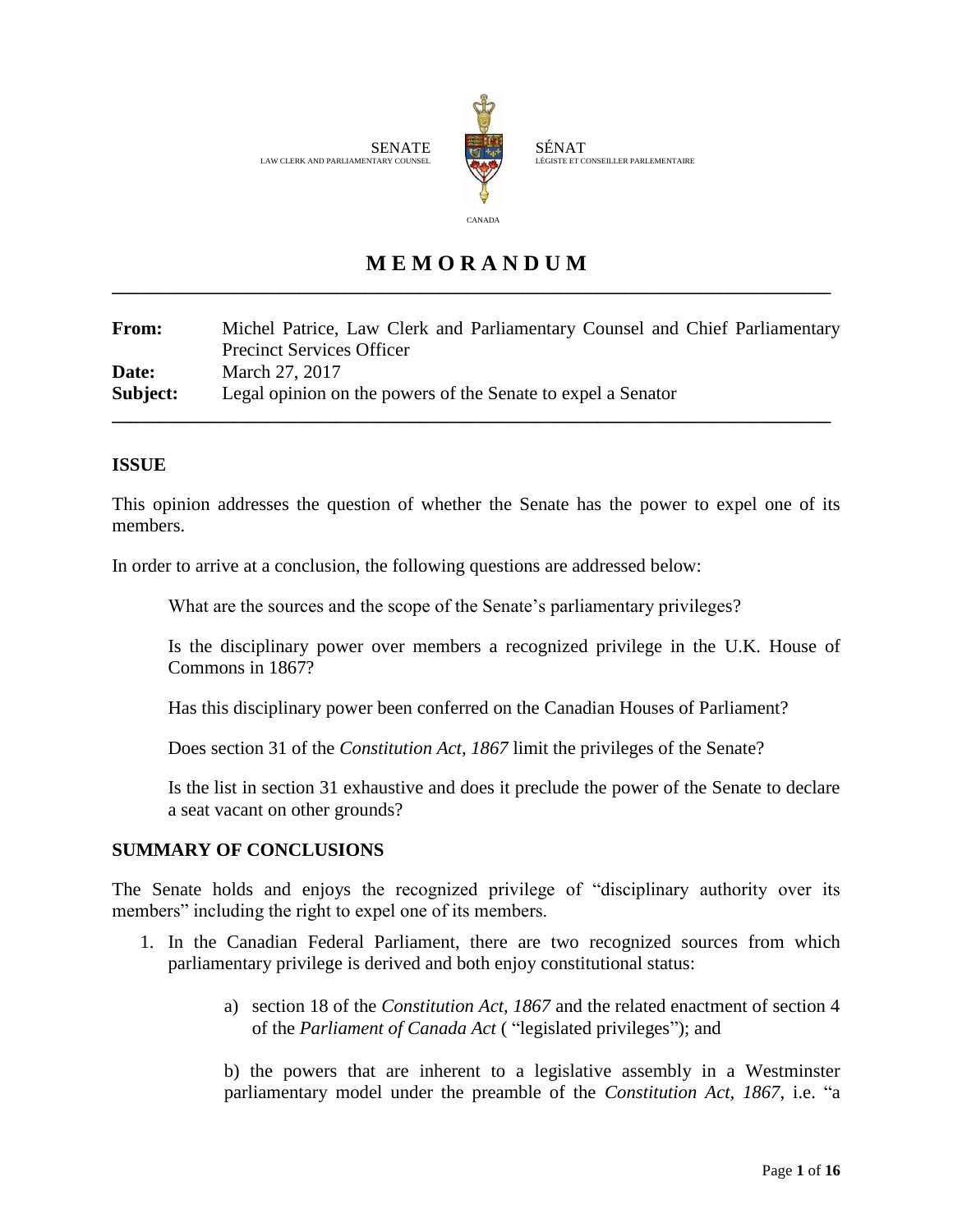

SÉNAT LÉGISTE ET CONSEILLER PARLEMENTAIRE

# **M E M O R A N D U M \_\_\_\_\_\_\_\_\_\_\_\_\_\_\_\_\_\_\_\_\_\_\_\_\_\_\_\_\_\_\_\_\_\_\_\_\_\_\_\_\_\_\_\_\_\_\_\_\_\_\_\_\_\_\_\_\_\_\_\_\_\_\_\_\_\_\_\_\_\_\_\_\_\_\_\_\_**

**From:** Michel Patrice, Law Clerk and Parliamentary Counsel and Chief Parliamentary Precinct Services Officer **Date:** March 27, 2017 **Subject:** Legal opinion on the powers of the Senate to expel a Senator **\_\_\_\_\_\_\_\_\_\_\_\_\_\_\_\_\_\_\_\_\_\_\_\_\_\_\_\_\_\_\_\_\_\_\_\_\_\_\_\_\_\_\_\_\_\_\_\_\_\_\_\_\_\_\_\_\_\_\_\_\_\_\_\_\_\_\_\_\_\_\_\_\_\_\_\_\_**

## **ISSUE**

This opinion addresses the question of whether the Senate has the power to expel one of its members.

In order to arrive at a conclusion, the following questions are addressed below:

What are the sources and the scope of the Senate's parliamentary privileges?

Is the disciplinary power over members a recognized privilege in the U.K. House of Commons in 1867?

Has this disciplinary power been conferred on the Canadian Houses of Parliament?

Does section 31 of the *Constitution Act, 1867* limit the privileges of the Senate?

Is the list in section 31 exhaustive and does it preclude the power of the Senate to declare a seat vacant on other grounds?

## **SUMMARY OF CONCLUSIONS**

The Senate holds and enjoys the recognized privilege of "disciplinary authority over its members" including the right to expel one of its members.

- 1. In the Canadian Federal Parliament, there are two recognized sources from which parliamentary privilege is derived and both enjoy constitutional status:
	- a) section 18 of the *Constitution Act, 1867* and the related enactment of section 4 of the *Parliament of Canada Act* ( "legislated privileges"); and

b) the powers that are inherent to a legislative assembly in a Westminster parliamentary model under the preamble of the *Constitution Act, 1867*, i.e. "a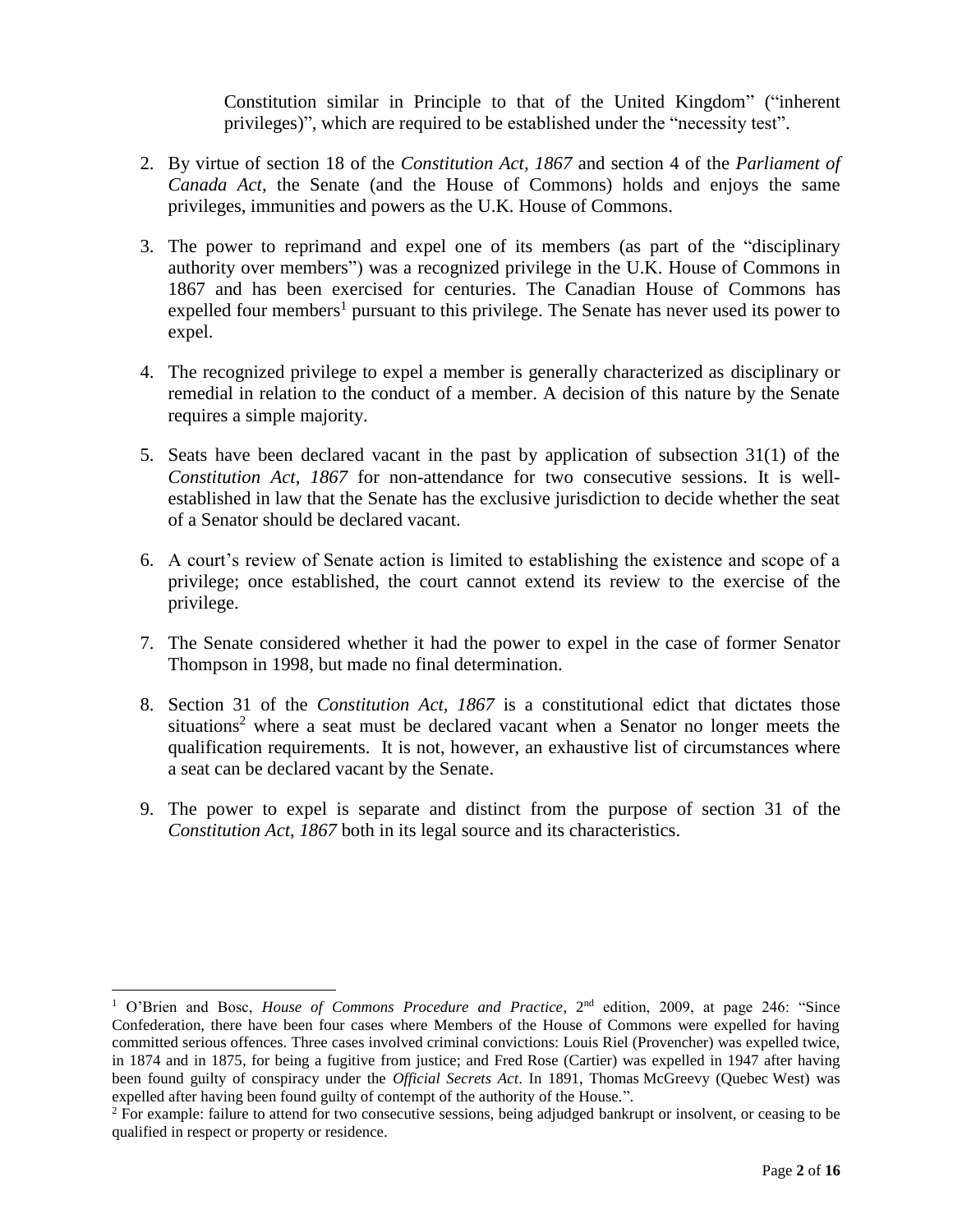Constitution similar in Principle to that of the United Kingdom" ("inherent privileges)", which are required to be established under the "necessity test".

- 2. By virtue of section 18 of the *Constitution Act, 1867* and section 4 of the *Parliament of Canada Act,* the Senate (and the House of Commons) holds and enjoys the same privileges, immunities and powers as the U.K. House of Commons.
- 3. The power to reprimand and expel one of its members (as part of the "disciplinary authority over members") was a recognized privilege in the U.K. House of Commons in 1867 and has been exercised for centuries. The Canadian House of Commons has expelled four members<sup>1</sup> pursuant to this privilege. The Senate has never used its power to expel.
- 4. The recognized privilege to expel a member is generally characterized as disciplinary or remedial in relation to the conduct of a member. A decision of this nature by the Senate requires a simple majority.
- 5. Seats have been declared vacant in the past by application of subsection 31(1) of the *Constitution Act, 1867* for non-attendance for two consecutive sessions. It is wellestablished in law that the Senate has the exclusive jurisdiction to decide whether the seat of a Senator should be declared vacant.
- 6. A court's review of Senate action is limited to establishing the existence and scope of a privilege; once established, the court cannot extend its review to the exercise of the privilege.
- 7. The Senate considered whether it had the power to expel in the case of former Senator Thompson in 1998, but made no final determination.
- 8. Section 31 of the *Constitution Act, 1867* is a constitutional edict that dictates those situations <sup>2</sup> where a seat must be declared vacant when a Senator no longer meets the qualification requirements. It is not, however, an exhaustive list of circumstances where a seat can be declared vacant by the Senate.
- 9. The power to expel is separate and distinct from the purpose of section 31 of the *Constitution Act*, *1867* both in its legal source and its characteristics.

l

<sup>1</sup> O'Brien and Bosc, *House of Commons Procedure and Practice*, 2nd edition, 2009, at page 246: "Since Confederation, there have been four cases where Members of the House of Commons were expelled for having committed serious offences. Three cases involved criminal convictions: Louis Riel (Provencher) was expelled twice, in 1874 and in 1875, for being a fugitive from justice; and Fred Rose (Cartier) was expelled in 1947 after having been found guilty of conspiracy under the *Official Secrets Act*. In 1891, Thomas McGreevy (Quebec West) was expelled after having been found guilty of contempt of the authority of the House.".

<sup>&</sup>lt;sup>2</sup> For example: failure to attend for two consecutive sessions, being adjudged bankrupt or insolvent, or ceasing to be qualified in respect or property or residence.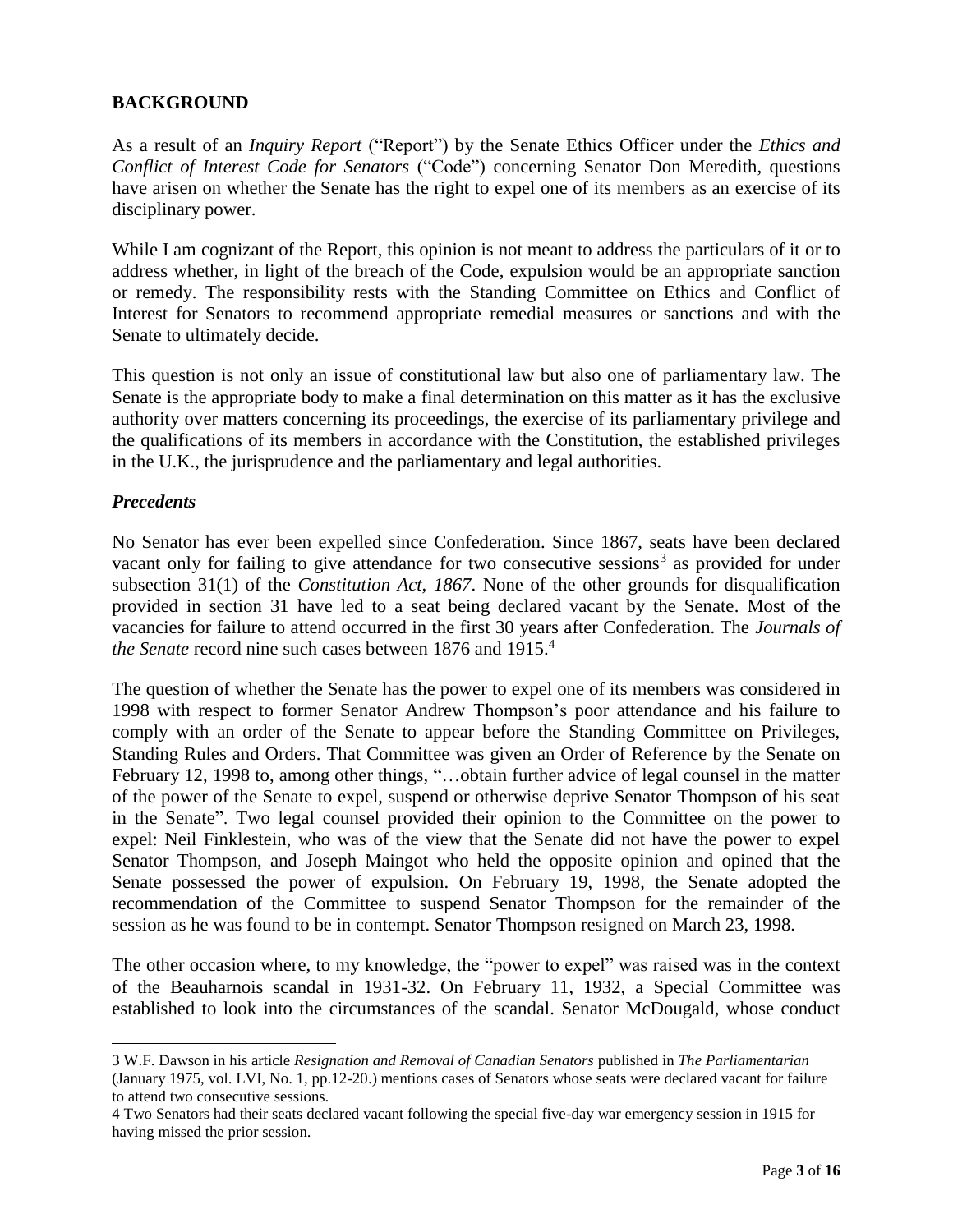## **BACKGROUND**

As a result of an *Inquiry Report* ("Report") by the Senate Ethics Officer under the *Ethics and Conflict of Interest Code for Senators* ("Code") concerning Senator Don Meredith, questions have arisen on whether the Senate has the right to expel one of its members as an exercise of its disciplinary power.

While I am cognizant of the Report, this opinion is not meant to address the particulars of it or to address whether, in light of the breach of the Code, expulsion would be an appropriate sanction or remedy. The responsibility rests with the Standing Committee on Ethics and Conflict of Interest for Senators to recommend appropriate remedial measures or sanctions and with the Senate to ultimately decide.

This question is not only an issue of constitutional law but also one of parliamentary law. The Senate is the appropriate body to make a final determination on this matter as it has the exclusive authority over matters concerning its proceedings, the exercise of its parliamentary privilege and the qualifications of its members in accordance with the Constitution, the established privileges in the U.K., the jurisprudence and the parliamentary and legal authorities.

#### *Precedents*

l

No Senator has ever been expelled since Confederation. Since 1867, seats have been declared vacant only for failing to give attendance for two consecutive sessions<sup>3</sup> as provided for under subsection 31(1) of the *Constitution Act, 1867*. None of the other grounds for disqualification provided in section 31 have led to a seat being declared vacant by the Senate. Most of the vacancies for failure to attend occurred in the first 30 years after Confederation. The *Journals of the Senate* record nine such cases between 1876 and 1915. 4

The question of whether the Senate has the power to expel one of its members was considered in 1998 with respect to former Senator Andrew Thompson's poor attendance and his failure to comply with an order of the Senate to appear before the Standing Committee on Privileges, Standing Rules and Orders. That Committee was given an Order of Reference by the Senate on February 12, 1998 to, among other things, "…obtain further advice of legal counsel in the matter of the power of the Senate to expel, suspend or otherwise deprive Senator Thompson of his seat in the Senate". Two legal counsel provided their opinion to the Committee on the power to expel: Neil Finklestein, who was of the view that the Senate did not have the power to expel Senator Thompson, and Joseph Maingot who held the opposite opinion and opined that the Senate possessed the power of expulsion. On February 19, 1998, the Senate adopted the recommendation of the Committee to suspend Senator Thompson for the remainder of the session as he was found to be in contempt. Senator Thompson resigned on March 23, 1998.

The other occasion where, to my knowledge, the "power to expel" was raised was in the context of the Beauharnois scandal in 1931-32. On February 11, 1932, a Special Committee was established to look into the circumstances of the scandal. Senator McDougald, whose conduct

<sup>3</sup> W.F. Dawson in his article *Resignation and Removal of Canadian Senators* published in *The Parliamentarian* (January 1975, vol. LVI, No. 1, pp.12-20.) mentions cases of Senators whose seats were declared vacant for failure to attend two consecutive sessions.

<sup>4</sup> Two Senators had their seats declared vacant following the special five-day war emergency session in 1915 for having missed the prior session.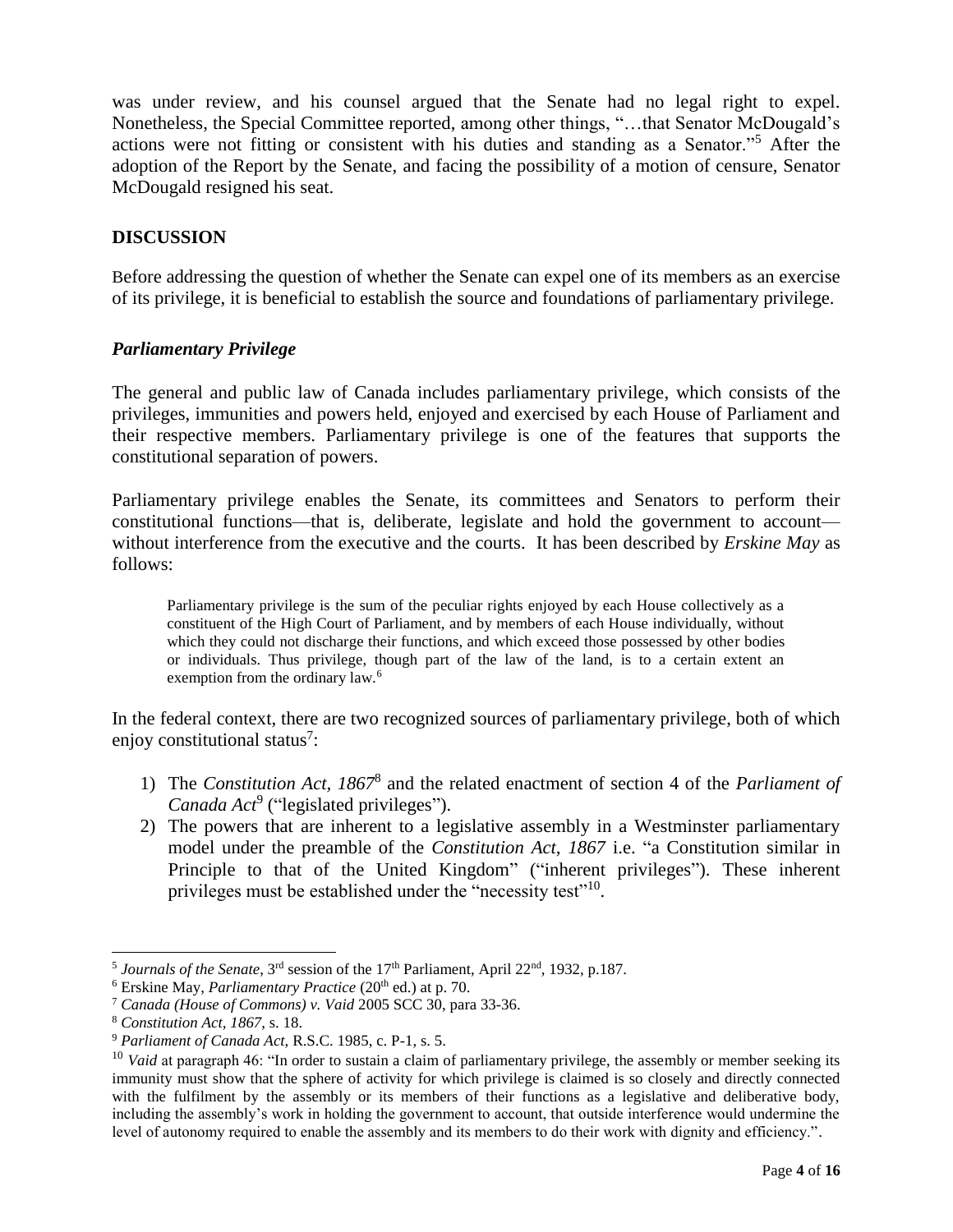was under review, and his counsel argued that the Senate had no legal right to expel. Nonetheless, the Special Committee reported, among other things, "…that Senator McDougald's actions were not fitting or consistent with his duties and standing as a Senator."<sup>5</sup> After the adoption of the Report by the Senate, and facing the possibility of a motion of censure, Senator McDougald resigned his seat.

### **DISCUSSION**

Before addressing the question of whether the Senate can expel one of its members as an exercise of its privilege, it is beneficial to establish the source and foundations of parliamentary privilege.

#### *Parliamentary Privilege*

The general and public law of Canada includes parliamentary privilege, which consists of the privileges, immunities and powers held, enjoyed and exercised by each House of Parliament and their respective members. Parliamentary privilege is one of the features that supports the constitutional separation of powers.

Parliamentary privilege enables the Senate, its committees and Senators to perform their constitutional functions—that is, deliberate, legislate and hold the government to account without interference from the executive and the courts. It has been described by *Erskine May* as follows:

Parliamentary privilege is the sum of the peculiar rights enjoyed by each House collectively as a constituent of the High Court of Parliament, and by members of each House individually, without which they could not discharge their functions, and which exceed those possessed by other bodies or individuals. Thus privilege, though part of the law of the land, is to a certain extent an exemption from the ordinary law.<sup>6</sup>

In the federal context, there are two recognized sources of parliamentary privilege, both of which enjoy constitutional status<sup>7</sup>:

- 1) The *Constitution Act, 1867*<sup>8</sup> and the related enactment of section 4 of the *Parliament of*  Canada Act<sup>9</sup> ("legislated privileges").
- 2) The powers that are inherent to a legislative assembly in a Westminster parliamentary model under the preamble of the *Constitution Act, 1867* i.e. "a Constitution similar in Principle to that of the United Kingdom" ("inherent privileges"). These inherent privileges must be established under the "necessity test"<sup>10</sup>.

<sup>&</sup>lt;sup>5</sup> Journals of the Senate, 3<sup>rd</sup> session of the 17<sup>th</sup> Parliament, April 22<sup>nd</sup>, 1932, p.187.

<sup>&</sup>lt;sup>6</sup> Erskine May, *Parliamentary Practice* (20<sup>th</sup> ed.) at p. 70.

<sup>7</sup> *Canada (House of Commons) v. Vaid* 2005 SCC 30, para 33-36.

<sup>8</sup> *Constitution Act, 1867*, s. 18.

<sup>9</sup> *Parliament of Canada Act,* R.S.C. 1985, c. P-1, s. 5.

<sup>&</sup>lt;sup>10</sup> *Vaid* at paragraph 46: "In order to sustain a claim of parliamentary privilege, the assembly or member seeking its immunity must show that the sphere of activity for which privilege is claimed is so closely and directly connected with the fulfilment by the assembly or its members of their functions as a legislative and deliberative body, including the assembly's work in holding the government to account, that outside interference would undermine the level of autonomy required to enable the assembly and its members to do their work with dignity and efficiency.".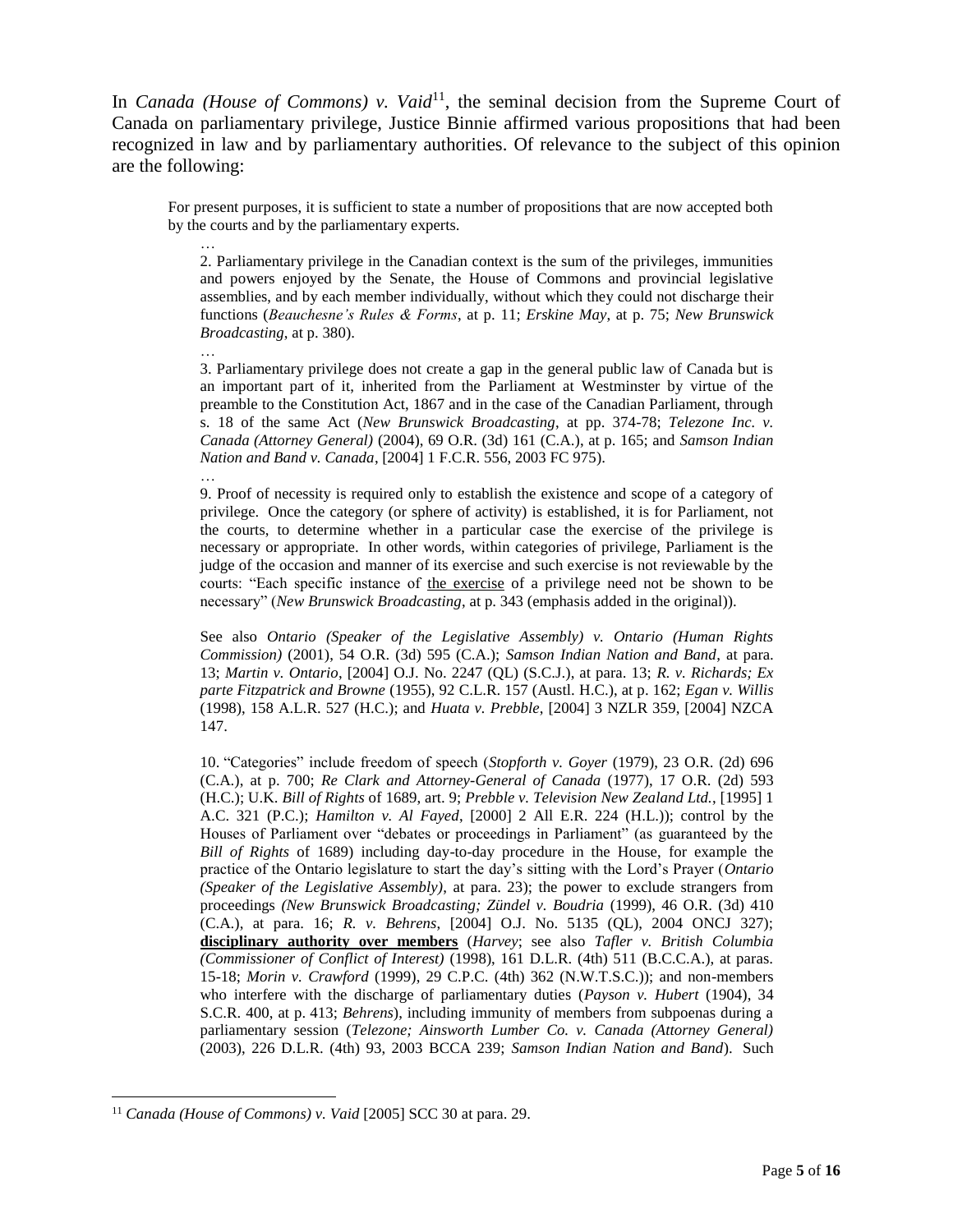In *Canada (House of Commons)* v. Vaid<sup>11</sup>, the seminal decision from the Supreme Court of Canada on parliamentary privilege, Justice Binnie affirmed various propositions that had been recognized in law and by parliamentary authorities. Of relevance to the subject of this opinion are the following:

For present purposes, it is sufficient to state a number of propositions that are now accepted both by the courts and by the parliamentary experts.

… 2. Parliamentary privilege in the Canadian context is the sum of the privileges, immunities and powers enjoyed by the Senate, the House of Commons and provincial legislative assemblies, and by each member individually, without which they could not discharge their functions (*Beauchesne's Rules & Forms*, at p. 11; *Erskine May*, at p. 75; *New Brunswick Broadcasting*, at p. 380).

… 3. Parliamentary privilege does not create a gap in the general public law of Canada but is an important part of it, inherited from the Parliament at Westminster by virtue of the preamble to the Constitution Act, 1867 and in the case of the Canadian Parliament, through s. 18 of the same Act (*New Brunswick Broadcasting*, at pp. 374-78; *Telezone Inc. v. Canada (Attorney General)* (2004), 69 O.R. (3d) 161 (C.A.), at p. 165; and *Samson Indian Nation and Band v. Canada*, [2004] 1 F.C.R. 556, 2003 FC 975).

9. Proof of necessity is required only to establish the existence and scope of a category of privilege. Once the category (or sphere of activity) is established, it is for Parliament, not the courts, to determine whether in a particular case the exercise of the privilege is necessary or appropriate. In other words, within categories of privilege, Parliament is the judge of the occasion and manner of its exercise and such exercise is not reviewable by the courts: "Each specific instance of the exercise of a privilege need not be shown to be necessary" (*New Brunswick Broadcasting*, at p. 343 (emphasis added in the original)).

See also *Ontario (Speaker of the Legislative Assembly) v. Ontario (Human Rights Commission)* (2001), 54 O.R. (3d) 595 (C.A.); *Samson Indian Nation and Band*, at para. 13; *Martin v. Ontario*, [2004] O.J. No. 2247 (QL) (S.C.J.), at para. 13; *R. v. Richards; Ex parte Fitzpatrick and Browne* (1955), 92 C.L.R. 157 (Austl. H.C.), at p. 162; *Egan v. Willis* (1998), 158 A.L.R. 527 (H.C.); and *Huata v. Prebble*, [2004] 3 NZLR 359, [2004] NZCA 147.

10. "Categories" include freedom of speech (*Stopforth v. Goyer* (1979), 23 O.R. (2d) 696 (C.A.), at p. 700; *Re Clark and Attorney-General of Canada* (1977), 17 O.R. (2d) 593 (H.C.); U.K. *Bill of Rights* of 1689, art. 9; *Prebble v. Television New Zealand Ltd.*, [1995] 1 A.C. 321 (P.C.); *Hamilton v. Al Fayed*, [2000] 2 All E.R. 224 (H.L.)); control by the Houses of Parliament over "debates or proceedings in Parliament" (as guaranteed by the *Bill of Rights* of 1689) including day-to-day procedure in the House, for example the practice of the Ontario legislature to start the day's sitting with the Lord's Prayer (*Ontario (Speaker of the Legislative Assembly)*, at para. 23); the power to exclude strangers from proceedings *(New Brunswick Broadcasting; Zündel v. Boudria* (1999), 46 O.R. (3d) 410 (C.A.), at para. 16; *R. v. Behrens*, [2004] O.J. No. 5135 (QL), 2004 ONCJ 327); **disciplinary authority over members** (*Harvey*; see also *Tafler v. British Columbia (Commissioner of Conflict of Interest)* (1998), 161 D.L.R. (4th) 511 (B.C.C.A.), at paras. 15-18; *Morin v. Crawford* (1999), 29 C.P.C. (4th) 362 (N.W.T.S.C.)); and non-members who interfere with the discharge of parliamentary duties (*Payson v. Hubert* (1904), 34 S.C.R. 400, at p. 413; *Behrens*), including immunity of members from subpoenas during a parliamentary session (*Telezone; Ainsworth Lumber Co. v. Canada (Attorney General)* (2003), 226 D.L.R. (4th) 93, 2003 BCCA 239; *Samson Indian Nation and Band*). Such

l

…

<sup>11</sup> *Canada (House of Commons) v. Vaid* [2005] SCC 30 at para. 29.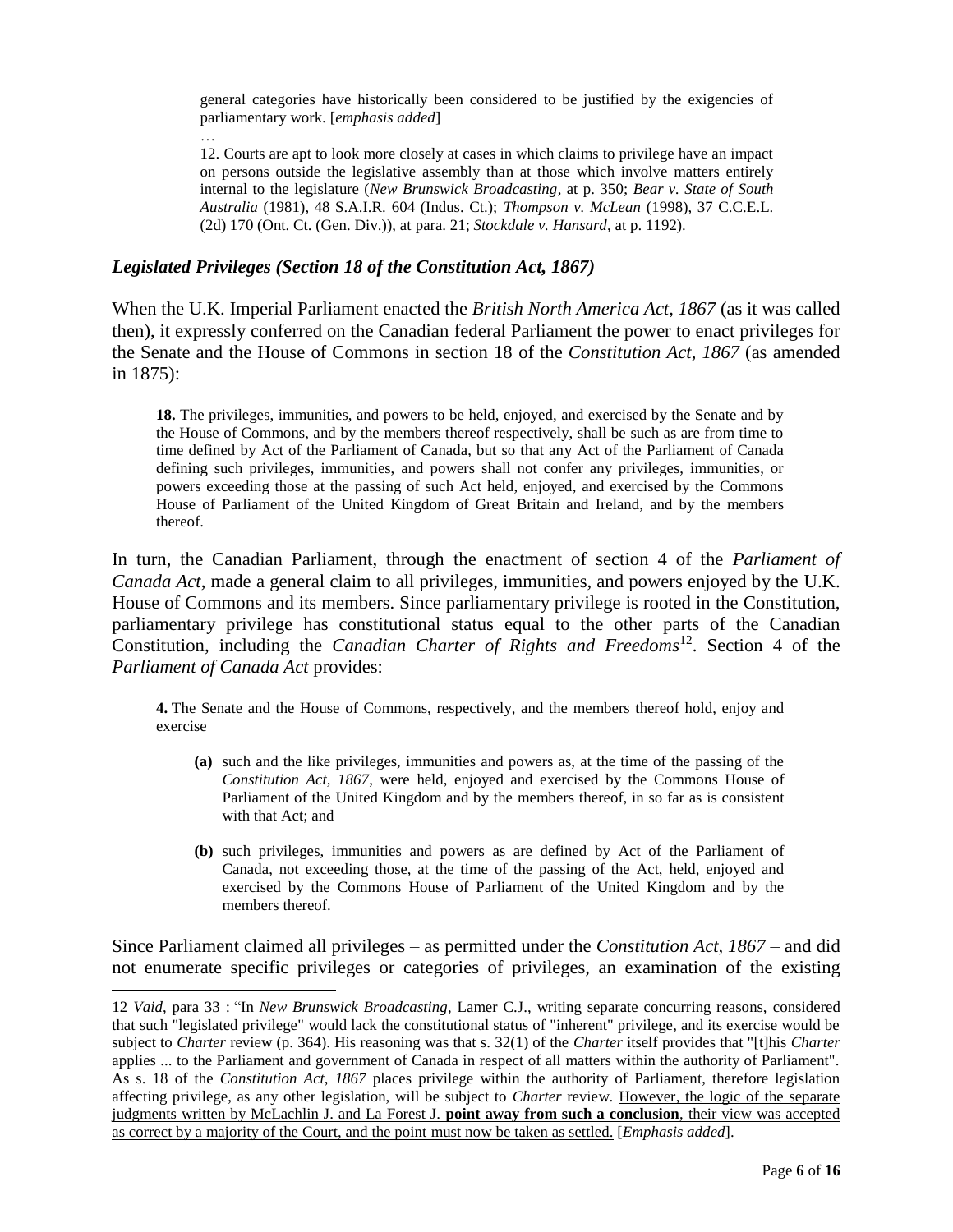general categories have historically been considered to be justified by the exigencies of parliamentary work. [*emphasis added*]

12. Courts are apt to look more closely at cases in which claims to privilege have an impact on persons outside the legislative assembly than at those which involve matters entirely internal to the legislature (*New Brunswick Broadcasting*, at p. 350; *Bear v. State of South Australia* (1981), 48 S.A.I.R. 604 (Indus. Ct.); *Thompson v. McLean* (1998), 37 C.C.E.L. (2d) 170 (Ont. Ct. (Gen. Div.)), at para. 21; *Stockdale v. Hansard*, at p. 1192).

#### *Legislated Privileges (Section 18 of the Constitution Act, 1867)*

…

l

When the U.K. Imperial Parliament enacted the *British North America Act, 1867* (as it was called then), it expressly conferred on the Canadian federal Parliament the power to enact privileges for the Senate and the House of Commons in section 18 of the *Constitution Act, 1867* (as amended in 1875):

**18.** The privileges, immunities, and powers to be held, enjoyed, and exercised by the Senate and by the House of Commons, and by the members thereof respectively, shall be such as are from time to time defined by Act of the Parliament of Canada, but so that any Act of the Parliament of Canada defining such privileges, immunities, and powers shall not confer any privileges, immunities, or powers exceeding those at the passing of such Act held, enjoyed, and exercised by the Commons House of Parliament of the United Kingdom of Great Britain and Ireland, and by the members thereof.

In turn, the Canadian Parliament, through the enactment of section 4 of the *Parliament of Canada Act*, made a general claim to all privileges, immunities, and powers enjoyed by the U.K. House of Commons and its members. Since parliamentary privilege is rooted in the Constitution, parliamentary privilege has constitutional status equal to the other parts of the Canadian Constitution, including the *Canadian Charter of Rights and Freedoms*<sup>12</sup>. Section 4 of the *Parliament of Canada Act* provides:

**4.** The Senate and the House of Commons, respectively, and the members thereof hold, enjoy and exercise

- **(a)** such and the like privileges, immunities and powers as, at the time of the passing of the *[Constitution Act, 1867](http://laws-lois.justice.gc.ca/eng/Const/)*, were held, enjoyed and exercised by the Commons House of Parliament of the United Kingdom and by the members thereof, in so far as is consistent with that Act; and
- **(b)** such privileges, immunities and powers as are defined by Act of the Parliament of Canada, not exceeding those, at the time of the passing of the Act, held, enjoyed and exercised by the Commons House of Parliament of the United Kingdom and by the members thereof.

Since Parliament claimed all privileges – as permitted under the *Constitution Act, 1867* – and did not enumerate specific privileges or categories of privileges, an examination of the existing

<sup>12</sup> *Vaid*, para 33 : "In *[New Brunswick Broadcasting](http://ecarswell.westlaw.com/Find/Default.wl?rs=WLCA1.0&vr=2.0&DB=6407&FindType=Y&SerialNum=1993382149)*, Lamer C.J., writing separate concurring reasons, considered that such "legislated privilege" would lack the constitutional status of "inherent" privilege, and its exercise would be subject to *Charter* review (p. 364). His reasoning was that s. 32(1) of the *Charter* itself provides that "[t]his *Charter* applies ... to the Parliament and government of Canada in respect of all matters within the authority of Parliament". As s. 18 of the *Constitution Act, 1867* places privilege within the authority of Parliament, therefore legislation affecting privilege, as any other legislation, will be subject to *Charter* review. However, the logic of the separate judgments written by McLachlin J. and La Forest J. **point away from such a conclusion**, their view was accepted as correct by a majority of the Court, and the point must now be taken as settled. [*Emphasis added*].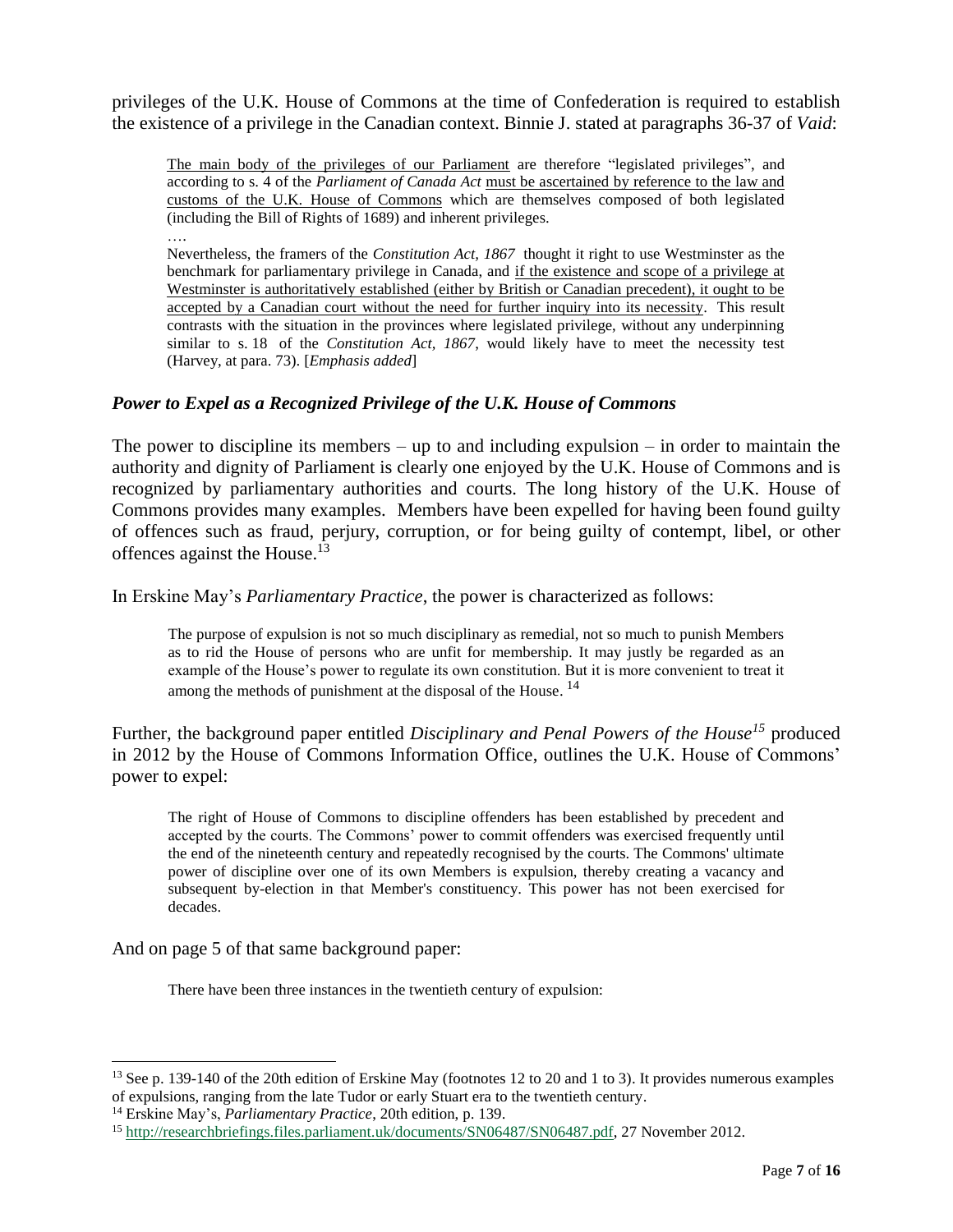privileges of the U.K. House of Commons at the time of Confederation is required to establish the existence of a privilege in the Canadian context. Binnie J. stated at paragraphs 36-37 of *Vaid*:

The main body of the privileges of our Parliament are therefore "legislated privileges", and according to s. 4 of the *Parliament of Canada Act* must be ascertained by reference to the law and customs of the U.K. House of Commons which are themselves composed of both legislated (including the Bill of Rights of 1689) and inherent privileges. ….

Nevertheless, the framers of the *[Constitution Act, 1867](https://zoupio.lexum.com/calegis/30---31-vict-c-3-en)* thought it right to use Westminster as the benchmark for parliamentary privilege in Canada, and if the existence and scope of a privilege at Westminster is authoritatively established (either by British or Canadian precedent), it ought to be accepted by a Canadian court without the need for further inquiry into its necessity. This result contrasts with the situation in the provinces where legislated privilege, without any underpinning similar to s. [18](https://zoupio.lexum.com/calegis/30---31-vict-c-3-en#!fragment/sec18) of the *[Constitution Act, 1867](https://zoupio.lexum.com/calegis/30---31-vict-c-3-en)*, would likely have to meet the necessity test (Harvey, at para. 73). [*Emphasis added*]

## *Power to Expel as a Recognized Privilege of the U.K. House of Commons*

The power to discipline its members – up to and including expulsion – in order to maintain the authority and dignity of Parliament is clearly one enjoyed by the U.K. House of Commons and is recognized by parliamentary authorities and courts. The long history of the U.K. House of Commons provides many examples. Members have been expelled for having been found guilty of offences such as fraud, perjury, corruption, or for being guilty of contempt, libel, or other offences against the House.<sup>13</sup>

In Erskine May's *Parliamentary Practice*, the power is characterized as follows:

The purpose of expulsion is not so much disciplinary as remedial, not so much to punish Members as to rid the House of persons who are unfit for membership. It may justly be regarded as an example of the House's power to regulate its own constitution. But it is more convenient to treat it among the methods of punishment at the disposal of the House.<sup>14</sup>

Further, the background paper entitled *Disciplinary and Penal Powers of the House<sup>15</sup>* produced in 2012 by the House of Commons Information Office, outlines the U.K. House of Commons' power to expel:

The right of House of Commons to discipline offenders has been established by precedent and accepted by the courts. The Commons' power to commit offenders was exercised frequently until the end of the nineteenth century and repeatedly recognised by the courts. The Commons' ultimate power of discipline over one of its own Members is expulsion, thereby creating a vacancy and subsequent by-election in that Member's constituency. This power has not been exercised for decades.

And on page 5 of that same background paper:

l

There have been three instances in the twentieth century of expulsion:

<sup>&</sup>lt;sup>13</sup> See p. 139-140 of the 20th edition of Erskine May (footnotes 12 to 20 and 1 to 3). It provides numerous examples of expulsions, ranging from the late Tudor or early Stuart era to the twentieth century.

<sup>14</sup> Erskine May's, *Parliamentary Practice*, 20th edition, p. 139.

<sup>15</sup> [http://researchbriefings.files.parliament.uk/documents/SN06487/SN06487.pdf,](http://researchbriefings.files.parliament.uk/documents/SN06487/SN06487.pdf) 27 November 2012.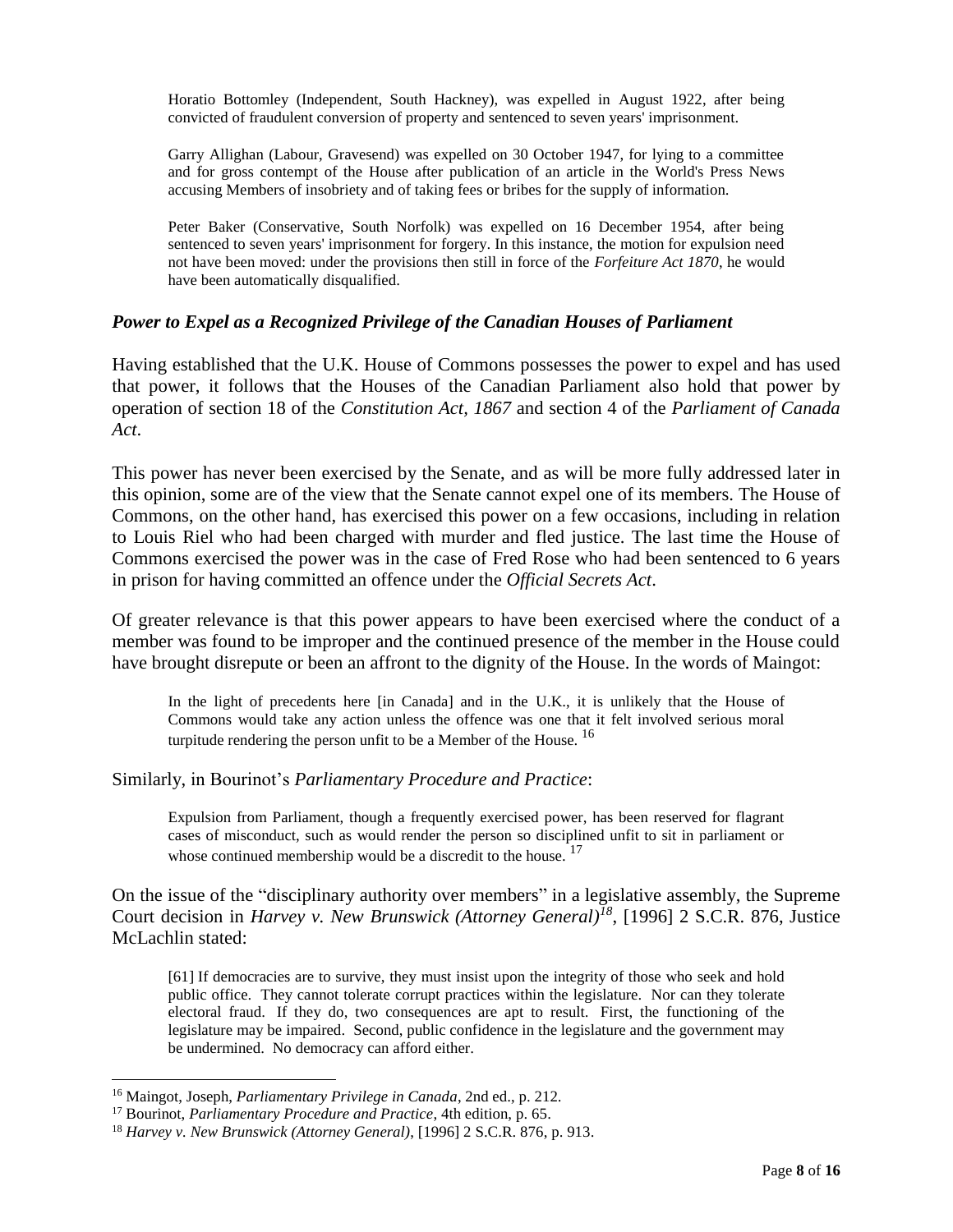Horatio Bottomley (Independent, South Hackney), was expelled in August 1922, after being convicted of fraudulent conversion of property and sentenced to seven years' imprisonment.

Garry Allighan (Labour, Gravesend) was expelled on 30 October 1947, for lying to a committee and for gross contempt of the House after publication of an article in the World's Press News accusing Members of insobriety and of taking fees or bribes for the supply of information.

Peter Baker (Conservative, South Norfolk) was expelled on 16 December 1954, after being sentenced to seven years' imprisonment for forgery. In this instance, the motion for expulsion need not have been moved: under the provisions then still in force of the *Forfeiture Act 1870*, he would have been automatically disqualified.

#### *Power to Expel as a Recognized Privilege of the Canadian Houses of Parliament*

Having established that the U.K. House of Commons possesses the power to expel and has used that power, it follows that the Houses of the Canadian Parliament also hold that power by operation of section 18 of the *Constitution Act, 1867* and section 4 of the *Parliament of Canada Act*.

This power has never been exercised by the Senate, and as will be more fully addressed later in this opinion, some are of the view that the Senate cannot expel one of its members. The House of Commons, on the other hand, has exercised this power on a few occasions, including in relation to Louis Riel who had been charged with murder and fled justice. The last time the House of Commons exercised the power was in the case of Fred Rose who had been sentenced to 6 years in prison for having committed an offence under the *Official Secrets Act*.

Of greater relevance is that this power appears to have been exercised where the conduct of a member was found to be improper and the continued presence of the member in the House could have brought disrepute or been an affront to the dignity of the House. In the words of Maingot:

In the light of precedents here [in Canada] and in the U.K., it is unlikely that the House of Commons would take any action unless the offence was one that it felt involved serious moral turpitude rendering the person unfit to be a Member of the House.  $^{16}$ 

Similarly, in Bourinot's *Parliamentary Procedure and Practice*:

Expulsion from Parliament, though a frequently exercised power, has been reserved for flagrant cases of misconduct, such as would render the person so disciplined unfit to sit in parliament or whose continued membership would be a discredit to the house.<sup>17</sup>

On the issue of the "disciplinary authority over members" in a legislative assembly, the Supreme Court decision in *Harvey v. New Brunswick (Attorney General)<sup>18</sup>*, [1996] 2 S.C.R. 876, Justice McLachlin stated:

[61] If democracies are to survive, they must insist upon the integrity of those who seek and hold public office. They cannot tolerate corrupt practices within the legislature. Nor can they tolerate electoral fraud. If they do, two consequences are apt to result. First, the functioning of the legislature may be impaired. Second, public confidence in the legislature and the government may be undermined. No democracy can afford either.

l

<sup>16</sup> Maingot, Joseph, *Parliamentary Privilege in Canada*, 2nd ed., p. 212.

<sup>17</sup> Bourinot, *Parliamentary Procedure and Practice*, 4th edition, p. 65.

<sup>18</sup> *Harvey v. New Brunswick (Attorney General)*, [1996] 2 S.C.R. 876, p. 913.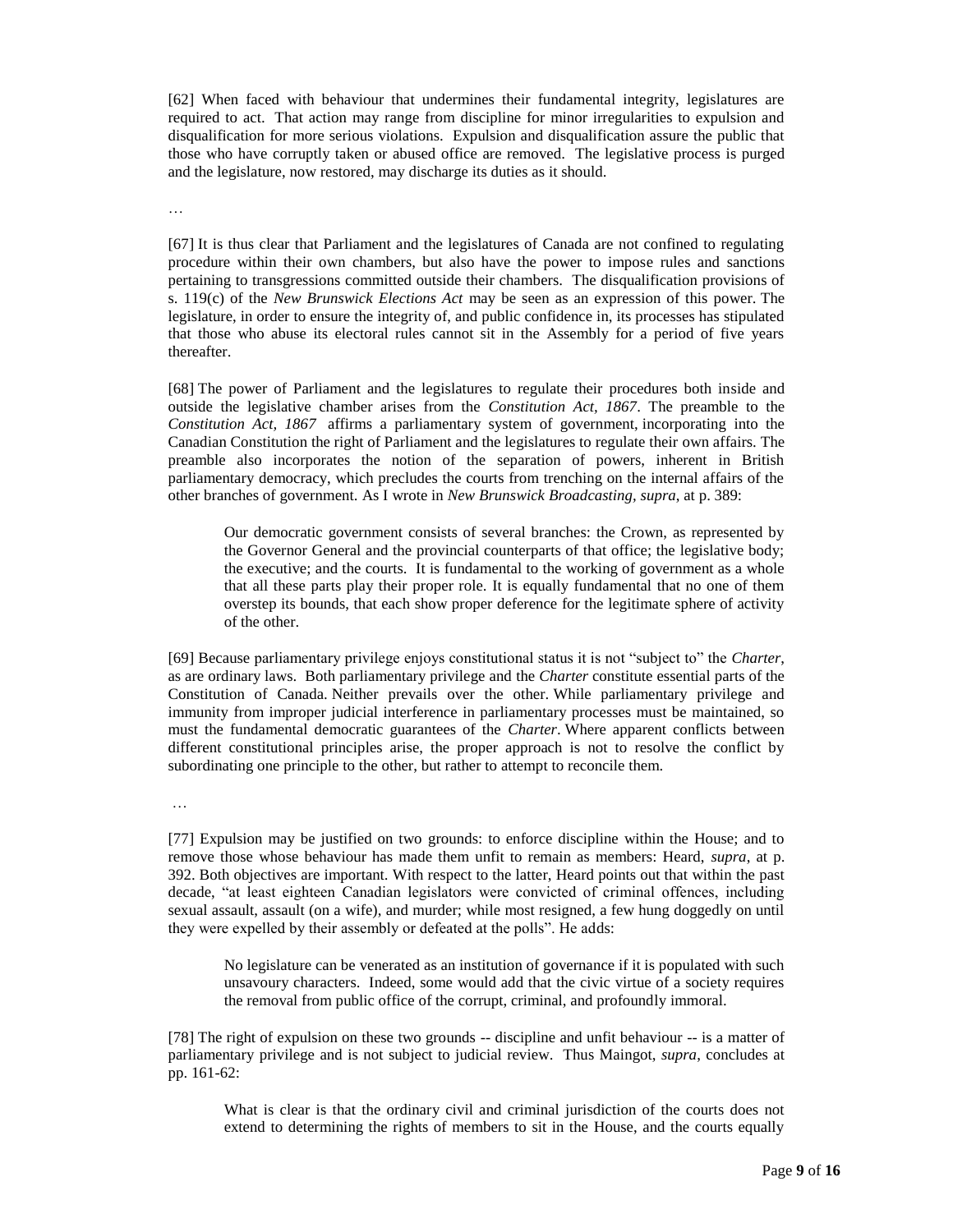[62] When faced with behaviour that undermines their fundamental integrity, legislatures are required to act. That action may range from discipline for minor irregularities to expulsion and disqualification for more serious violations. Expulsion and disqualification assure the public that those who have corruptly taken or abused office are removed. The legislative process is purged and the legislature, now restored, may discharge its duties as it should.

…

[67] It is thus clear that Parliament and the legislatures of Canada are not confined to regulating procedure within their own chambers, but also have the power to impose rules and sanctions pertaining to transgressions committed outside their chambers. The disqualification provisions of s. 119(c) of the *New Brunswick Elections Act* may be seen as an expression of this power. The legislature, in order to ensure the integrity of, and public confidence in, its processes has stipulated that those who abuse its electoral rules cannot sit in the Assembly for a period of five years thereafter.

[68] The power of Parliament and the legislatures to regulate their procedures both inside and outside the legislative chamber arises from the *[Constitution Act, 1867](https://zoupio.lexum.com/calegis/30---31-vict-c-3-en)*. The preamble to the *[Constitution Act, 1867](https://zoupio.lexum.com/calegis/30---31-vict-c-3-en)* affirms a parliamentary system of government, incorporating into the Canadian Constitution the right of Parliament and the legislatures to regulate their own affairs. The preamble also incorporates the notion of the separation of powers, inherent in British parliamentary democracy, which precludes the courts from trenching on the internal affairs of the other branches of government. As I wrote in *New Brunswick Broadcasting, supra*, at p. 389:

Our democratic government consists of several branches: the Crown, as represented by the Governor General and the provincial counterparts of that office; the legislative body; the executive; and the courts. It is fundamental to the working of government as a whole that all these parts play their proper role. It is equally fundamental that no one of them overstep its bounds, that each show proper deference for the legitimate sphere of activity of the other.

[69] Because parliamentary privilege enjoys constitutional status it is not "subject to" the *[Charter](https://zoupio.lexum.com/calegis/schedule-b-to-the-canada-act-1982-uk-1982-c-11-en)*, as are ordinary laws. Both parliamentary privilege and the *[Charter](https://zoupio.lexum.com/calegis/schedule-b-to-the-canada-act-1982-uk-1982-c-11-en)* constitute essential parts of the Constitution of Canada. Neither prevails over the other. While parliamentary privilege and immunity from improper judicial interference in parliamentary processes must be maintained, so must the fundamental democratic guarantees of the *[Charter](https://zoupio.lexum.com/calegis/schedule-b-to-the-canada-act-1982-uk-1982-c-11-en)*. Where apparent conflicts between different constitutional principles arise, the proper approach is not to resolve the conflict by subordinating one principle to the other, but rather to attempt to reconcile them.

…

[77] Expulsion may be justified on two grounds: to enforce discipline within the House; and to remove those whose behaviour has made them unfit to remain as members: Heard, *supra*, at p. 392. Both objectives are important. With respect to the latter, Heard points out that within the past decade, "at least eighteen Canadian legislators were convicted of criminal offences, including sexual assault, assault (on a wife), and murder; while most resigned, a few hung doggedly on until they were expelled by their assembly or defeated at the polls". He adds:

No legislature can be venerated as an institution of governance if it is populated with such unsavoury characters. Indeed, some would add that the civic virtue of a society requires the removal from public office of the corrupt, criminal, and profoundly immoral.

[78] The right of expulsion on these two grounds -- discipline and unfit behaviour -- is a matter of parliamentary privilege and is not subject to judicial review. Thus Maingot, *supra*, concludes at pp. 161-62:

What is clear is that the ordinary civil and criminal jurisdiction of the courts does not extend to determining the rights of members to sit in the House, and the courts equally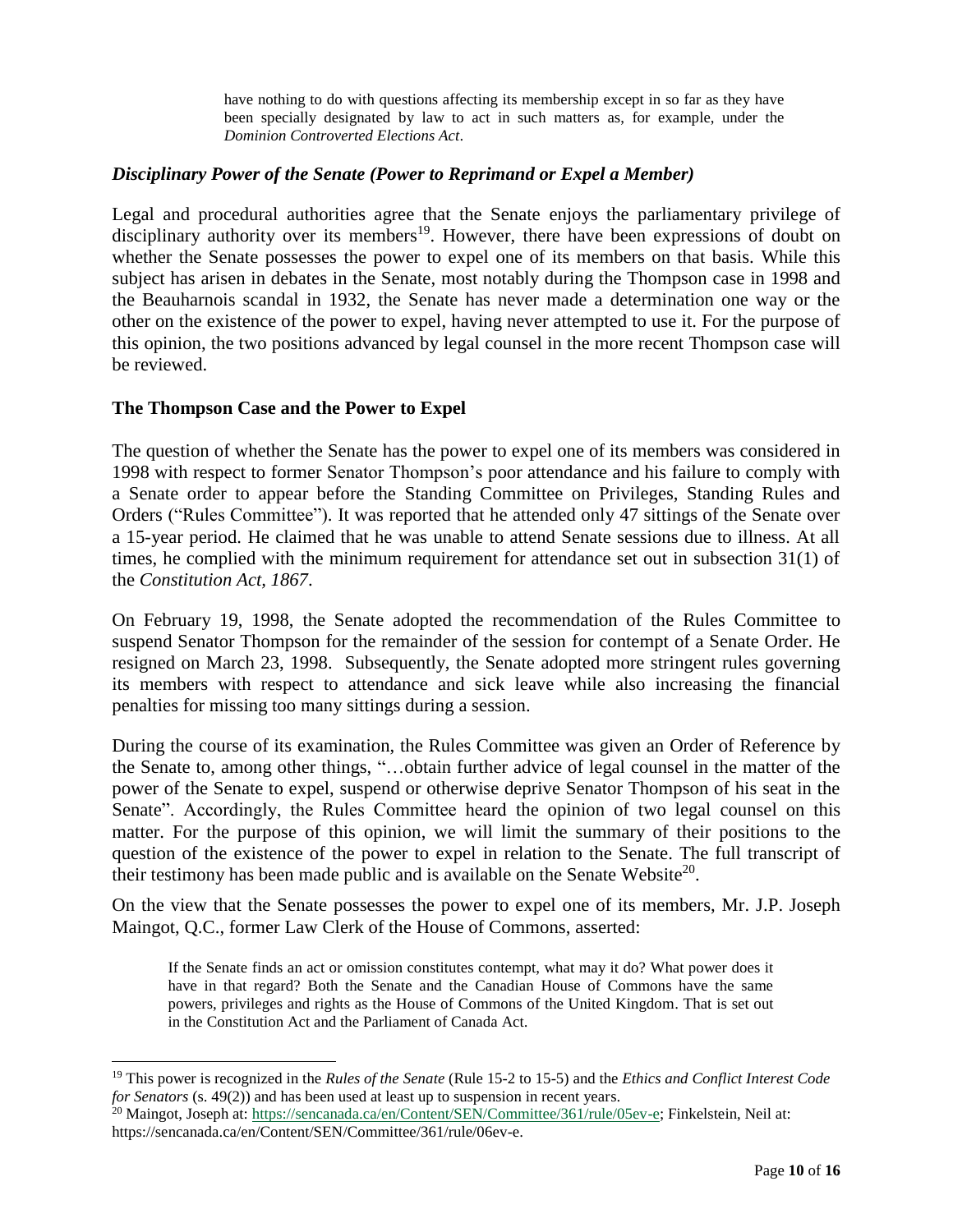have nothing to do with questions affecting its membership except in so far as they have been specially designated by law to act in such matters as, for example, under the *Dominion Controverted Elections Act*.

### *Disciplinary Power of the Senate (Power to Reprimand or Expel a Member)*

Legal and procedural authorities agree that the Senate enjoys the parliamentary privilege of disciplinary authority over its members<sup>19</sup>. However, there have been expressions of doubt on whether the Senate possesses the power to expel one of its members on that basis. While this subject has arisen in debates in the Senate, most notably during the Thompson case in 1998 and the Beauharnois scandal in 1932, the Senate has never made a determination one way or the other on the existence of the power to expel, having never attempted to use it. For the purpose of this opinion, the two positions advanced by legal counsel in the more recent Thompson case will be reviewed.

#### **The Thompson Case and the Power to Expel**

l

The question of whether the Senate has the power to expel one of its members was considered in 1998 with respect to former Senator Thompson's poor attendance and his failure to comply with a Senate order to appear before the Standing Committee on Privileges, Standing Rules and Orders ("Rules Committee"). It was reported that he attended only 47 sittings of the Senate over a 15-year period. He claimed that he was unable to attend Senate sessions due to illness. At all times, he complied with the minimum requirement for attendance set out in subsection 31(1) of the *Constitution Act, 1867*.

On February 19, 1998, the Senate adopted the recommendation of the Rules Committee to suspend Senator Thompson for the remainder of the session for contempt of a Senate Order. He resigned on March 23, 1998. Subsequently, the Senate adopted more stringent rules governing its members with respect to attendance and sick leave while also increasing the financial penalties for missing too many sittings during a session.

During the course of its examination, the Rules Committee was given an Order of Reference by the Senate to, among other things, "…obtain further advice of legal counsel in the matter of the power of the Senate to expel, suspend or otherwise deprive Senator Thompson of his seat in the Senate". Accordingly, the Rules Committee heard the opinion of two legal counsel on this matter. For the purpose of this opinion, we will limit the summary of their positions to the question of the existence of the power to expel in relation to the Senate. The full transcript of their testimony has been made public and is available on the Senate Website<sup>20</sup>.

On the view that the Senate possesses the power to expel one of its members, Mr. J.P. Joseph Maingot, Q.C., former Law Clerk of the House of Commons, asserted:

If the Senate finds an act or omission constitutes contempt, what may it do? What power does it have in that regard? Both the Senate and the Canadian House of Commons have the same powers, privileges and rights as the House of Commons of the United Kingdom. That is set out in the Constitution Act and the Parliament of Canada Act.

<sup>19</sup> This power is recognized in the *Rules of the Senate* (Rule 15-2 to 15-5) and the *Ethics and Conflict Interest Code for Senators* (s. 49(2)) and has been used at least up to suspension in recent years.

<sup>&</sup>lt;sup>20</sup> Maingot, Joseph at: [https://sencanada.ca/en/Content/SEN/Committee/361/rule/05ev-e;](https://sencanada.ca/en/Content/SEN/Committee/361/rule/05ev-e) Finkelstein, Neil at: https://sencanada.ca/en/Content/SEN/Committee/361/rule/06ev-e.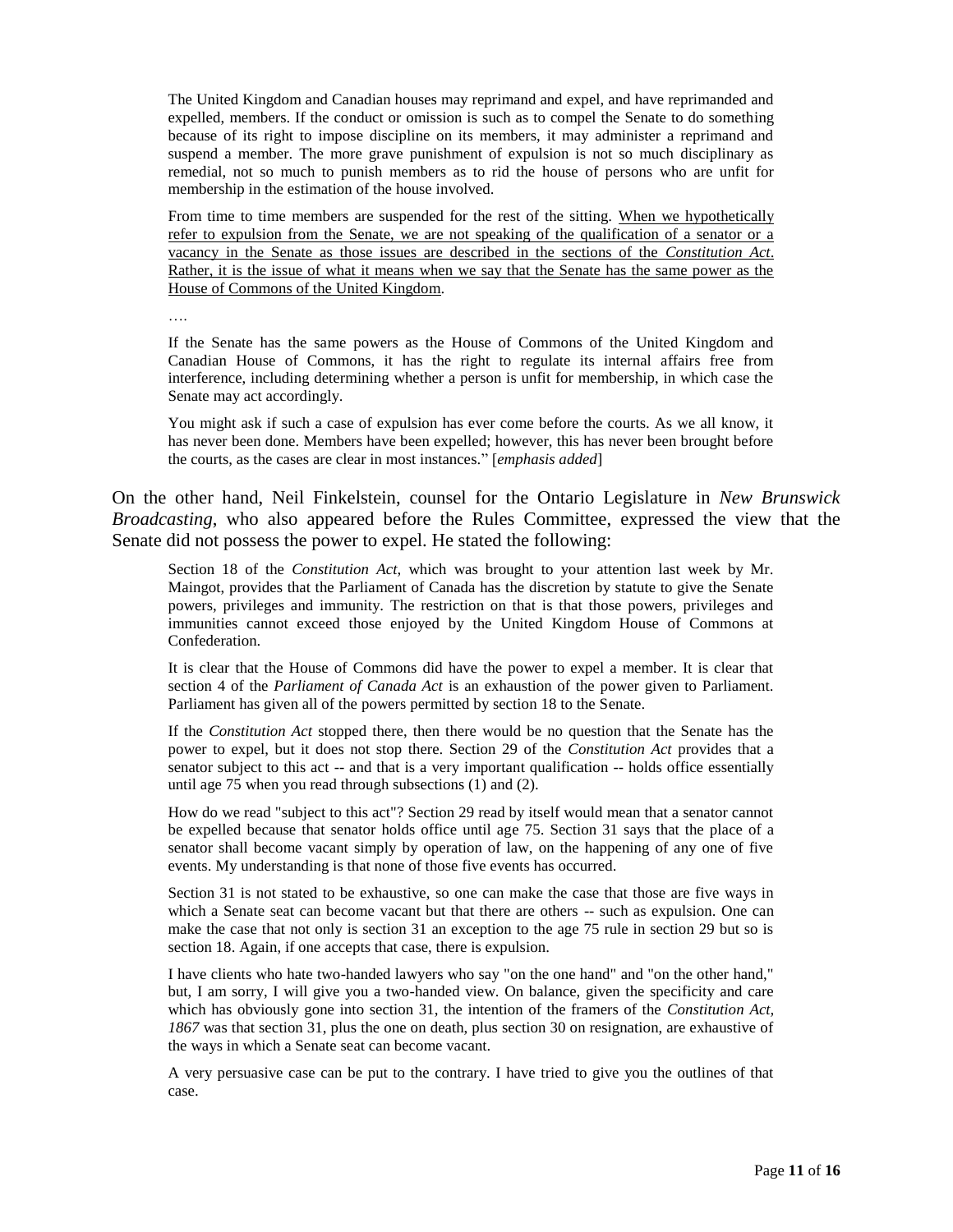The United Kingdom and Canadian houses may reprimand and expel, and have reprimanded and expelled, members. If the conduct or omission is such as to compel the Senate to do something because of its right to impose discipline on its members, it may administer a reprimand and suspend a member. The more grave punishment of expulsion is not so much disciplinary as remedial, not so much to punish members as to rid the house of persons who are unfit for membership in the estimation of the house involved.

From time to time members are suspended for the rest of the sitting. When we hypothetically refer to expulsion from the Senate, we are not speaking of the qualification of a senator or a vacancy in the Senate as those issues are described in the sections of the *Constitution Act*. Rather, it is the issue of what it means when we say that the Senate has the same power as the House of Commons of the United Kingdom.

….

If the Senate has the same powers as the House of Commons of the United Kingdom and Canadian House of Commons, it has the right to regulate its internal affairs free from interference, including determining whether a person is unfit for membership, in which case the Senate may act accordingly.

You might ask if such a case of expulsion has ever come before the courts. As we all know, it has never been done. Members have been expelled; however, this has never been brought before the courts, as the cases are clear in most instances." [*emphasis added*]

On the other hand, Neil Finkelstein, counsel for the Ontario Legislature in *[New Brunswick](http://ecarswell.westlaw.com/Find/Default.wl?rs=WLCA1.0&vr=2.0&DB=6407&FindType=Y&SerialNum=1993382149)  [Broadcasting](http://ecarswell.westlaw.com/Find/Default.wl?rs=WLCA1.0&vr=2.0&DB=6407&FindType=Y&SerialNum=1993382149)*, who also appeared before the Rules Committee, expressed the view that the Senate did not possess the power to expel. He stated the following:

Section 18 of the *Constitution Act*, which was brought to your attention last week by Mr. Maingot, provides that the Parliament of Canada has the discretion by statute to give the Senate powers, privileges and immunity. The restriction on that is that those powers, privileges and immunities cannot exceed those enjoyed by the United Kingdom House of Commons at Confederation.

It is clear that the House of Commons did have the power to expel a member. It is clear that section 4 of the *Parliament of Canada Act* is an exhaustion of the power given to Parliament. Parliament has given all of the powers permitted by section 18 to the Senate.

If the *Constitution Act* stopped there, then there would be no question that the Senate has the power to expel, but it does not stop there. Section 29 of the *Constitution Act* provides that a senator subject to this act -- and that is a very important qualification -- holds office essentially until age 75 when you read through subsections (1) and (2).

How do we read "subject to this act"? Section 29 read by itself would mean that a senator cannot be expelled because that senator holds office until age 75. Section 31 says that the place of a senator shall become vacant simply by operation of law, on the happening of any one of five events. My understanding is that none of those five events has occurred.

Section 31 is not stated to be exhaustive, so one can make the case that those are five ways in which a Senate seat can become vacant but that there are others -- such as expulsion. One can make the case that not only is section 31 an exception to the age 75 rule in section 29 but so is section 18. Again, if one accepts that case, there is expulsion.

I have clients who hate two-handed lawyers who say "on the one hand" and "on the other hand," but, I am sorry, I will give you a two-handed view. On balance, given the specificity and care which has obviously gone into section 31, the intention of the framers of the *Constitution Act, 1867* was that section 31, plus the one on death, plus section 30 on resignation, are exhaustive of the ways in which a Senate seat can become vacant.

A very persuasive case can be put to the contrary. I have tried to give you the outlines of that case.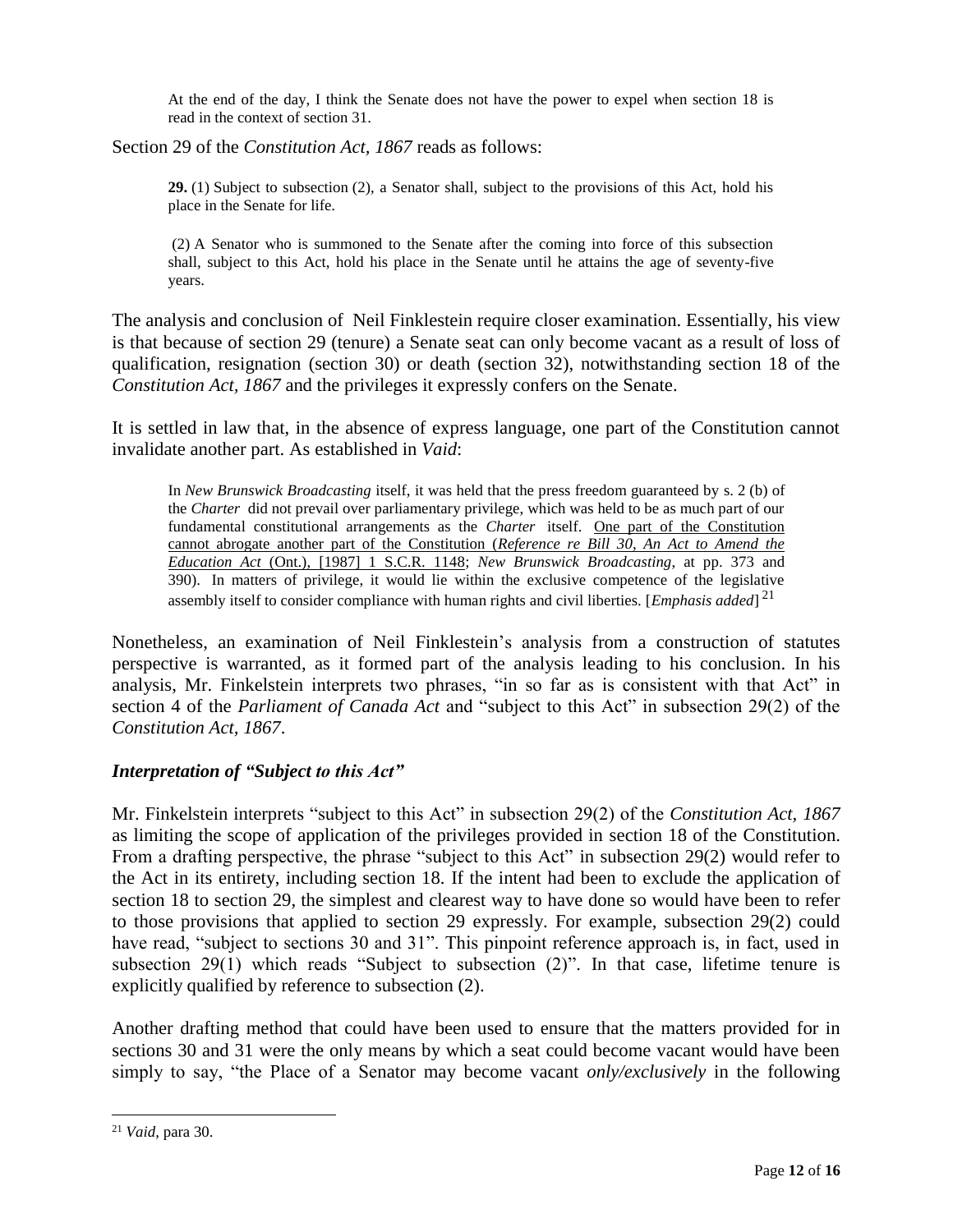At the end of the day, I think the Senate does not have the power to expel when section 18 is read in the context of section 31.

Section 29 of the *Constitution Act, 1867* reads as follows:

**29.** (1) Subject to subsection (2), a Senator shall, subject to the provisions of this Act, hold his place in the Senate for life.

(2) A Senator who is summoned to the Senate after the coming into force of this subsection shall, subject to this Act, hold his place in the Senate until he attains the age of seventy-five years.

The analysis and conclusion of Neil Finklestein require closer examination. Essentially, his view is that because of section 29 (tenure) a Senate seat can only become vacant as a result of loss of qualification, resignation (section 30) or death (section 32), notwithstanding section 18 of the *Constitution Act, 1867* and the privileges it expressly confers on the Senate.

It is settled in law that, in the absence of express language, one part of the Constitution cannot invalidate another part. As established in *Vaid*:

In *New Brunswick Broadcasting* itself, it was held that the press freedom guaranteed by [s.](https://zoupio.lexum.com/calegis/schedule-b-to-the-canada-act-1982-uk-1982-c-11-en#!fragment/sec2) 2 (b) of the *[Charter](https://zoupio.lexum.com/calegis/schedule-b-to-the-canada-act-1982-uk-1982-c-11-en)* did not prevail over parliamentary privilege, which was held to be as much part of our fundamental constitutional arrangements as the *[Charter](https://zoupio.lexum.com/calegis/schedule-b-to-the-canada-act-1982-uk-1982-c-11-en)* itself. One part of the Constitution cannot abrogate another part of the Constitution (*Reference re Bill 30, An Act to Amend the Education Act* (Ont.), [1987] 1 S.C.R. 1148; *New Brunswick Broadcasting*, at pp. 373 and 390). In matters of privilege, it would lie within the exclusive competence of the legislative assembly itself to consider compliance with human rights and civil liberties. [*Emphasis added*] 21

Nonetheless, an examination of Neil Finklestein's analysis from a construction of statutes perspective is warranted, as it formed part of the analysis leading to his conclusion. In his analysis, Mr. Finkelstein interprets two phrases, "in so far as is consistent with that Act" in section 4 of the *Parliament of Canada Act* and "subject to this Act" in subsection 29(2) of the *Constitution Act, 1867*.

## *Interpretation of "Subject to this Act"*

Mr. Finkelstein interprets "subject to this Act" in subsection 29(2) of the *Constitution Act, 1867* as limiting the scope of application of the privileges provided in section 18 of the Constitution. From a drafting perspective, the phrase "subject to this Act" in subsection 29(2) would refer to the Act in its entirety, including section 18. If the intent had been to exclude the application of section 18 to section 29, the simplest and clearest way to have done so would have been to refer to those provisions that applied to section 29 expressly. For example, subsection 29(2) could have read, "subject to sections 30 and 31". This pinpoint reference approach is, in fact, used in subsection 29(1) which reads "Subject to subsection (2)". In that case, lifetime tenure is explicitly qualified by reference to subsection (2).

Another drafting method that could have been used to ensure that the matters provided for in sections 30 and 31 were the only means by which a seat could become vacant would have been simply to say, "the Place of a Senator may become vacant *only/exclusively* in the following

 $\overline{a}$ 

<sup>21</sup> *Vaid*, para 30.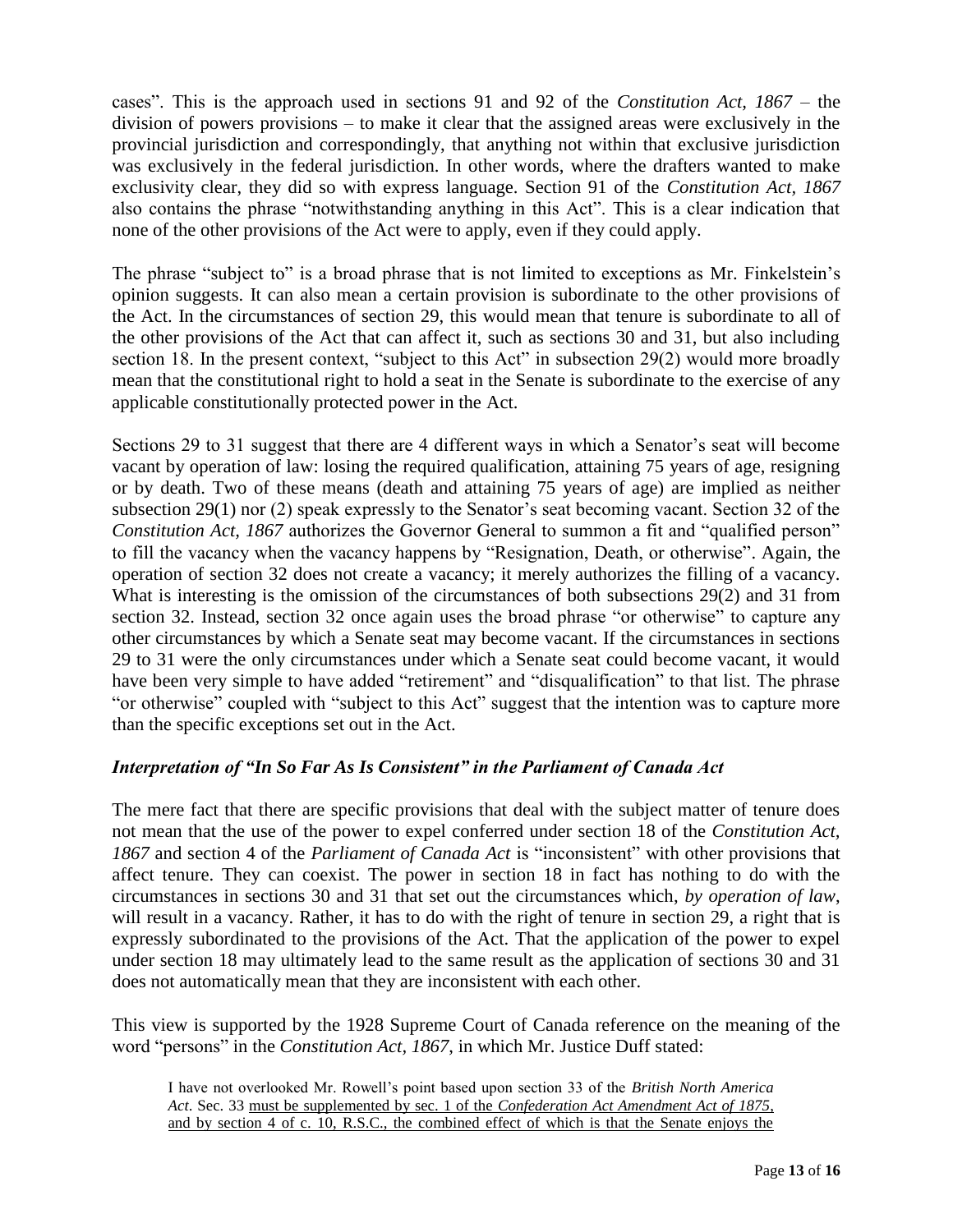cases". This is the approach used in sections 91 and 92 of the *Constitution Act, 1867* – the division of powers provisions – to make it clear that the assigned areas were exclusively in the provincial jurisdiction and correspondingly, that anything not within that exclusive jurisdiction was exclusively in the federal jurisdiction. In other words, where the drafters wanted to make exclusivity clear, they did so with express language. Section 91 of the *Constitution Act, 1867* also contains the phrase "notwithstanding anything in this Act". This is a clear indication that none of the other provisions of the Act were to apply, even if they could apply.

The phrase "subject to" is a broad phrase that is not limited to exceptions as Mr. Finkelstein's opinion suggests. It can also mean a certain provision is subordinate to the other provisions of the Act. In the circumstances of section 29, this would mean that tenure is subordinate to all of the other provisions of the Act that can affect it, such as sections 30 and 31, but also including section 18. In the present context, "subject to this Act" in subsection 29(2) would more broadly mean that the constitutional right to hold a seat in the Senate is subordinate to the exercise of any applicable constitutionally protected power in the Act.

Sections 29 to 31 suggest that there are 4 different ways in which a Senator's seat will become vacant by operation of law: losing the required qualification, attaining 75 years of age, resigning or by death. Two of these means (death and attaining 75 years of age) are implied as neither subsection 29(1) nor (2) speak expressly to the Senator's seat becoming vacant. Section 32 of the *Constitution Act, 1867* authorizes the Governor General to summon a fit and "qualified person" to fill the vacancy when the vacancy happens by "Resignation, Death, or otherwise". Again, the operation of section 32 does not create a vacancy; it merely authorizes the filling of a vacancy. What is interesting is the omission of the circumstances of both subsections 29(2) and 31 from section 32. Instead, section 32 once again uses the broad phrase "or otherwise" to capture any other circumstances by which a Senate seat may become vacant. If the circumstances in sections 29 to 31 were the only circumstances under which a Senate seat could become vacant, it would have been very simple to have added "retirement" and "disqualification" to that list. The phrase "or otherwise" coupled with "subject to this Act" suggest that the intention was to capture more than the specific exceptions set out in the Act.

## *Interpretation of "In So Far As Is Consistent" in the Parliament of Canada Act*

The mere fact that there are specific provisions that deal with the subject matter of tenure does not mean that the use of the power to expel conferred under section 18 of the *Constitution Act, 1867* and section 4 of the *Parliament of Canada Act* is "inconsistent" with other provisions that affect tenure. They can coexist. The power in section 18 in fact has nothing to do with the circumstances in sections 30 and 31 that set out the circumstances which, *by operation of law*, will result in a vacancy. Rather, it has to do with the right of tenure in section 29, a right that is expressly subordinated to the provisions of the Act. That the application of the power to expel under section 18 may ultimately lead to the same result as the application of sections 30 and 31 does not automatically mean that they are inconsistent with each other.

This view is supported by the 1928 Supreme Court of Canada reference on the meaning of the word "persons" in the *Constitution Act, 1867*, in which Mr. Justice Duff stated:

I have not overlooked Mr. Rowell's point based upon section 33 of the *British North America Act*. Sec. 33 must be supplemented by sec. 1 of the *Confederation Act Amendment Act of 1875*, and by section 4 of c. 10, R.S.C., the combined effect of which is that the Senate enjoys the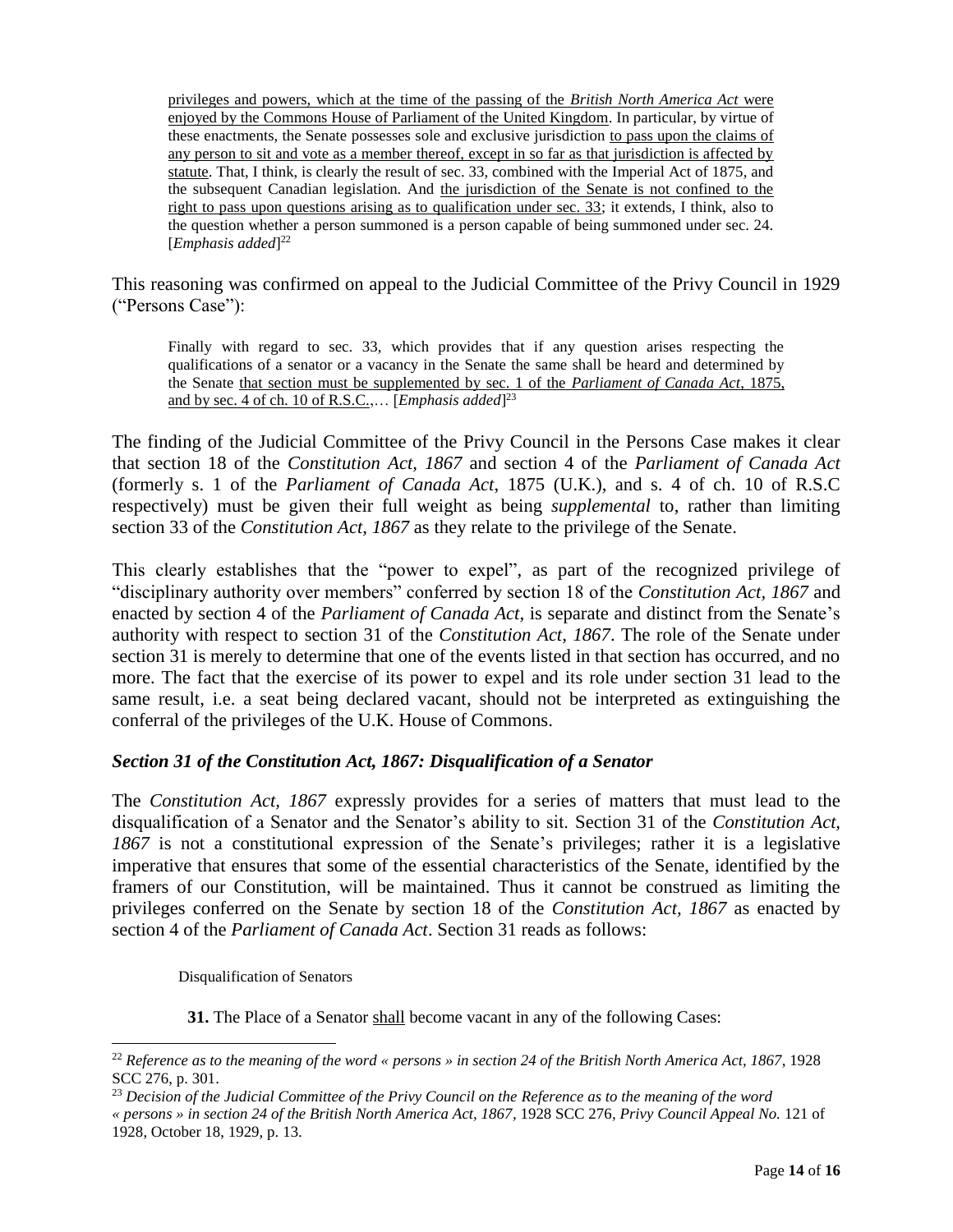privileges and powers, which at the time of the passing of the *British North America Act* were enjoyed by the Commons House of Parliament of the United Kingdom. In particular, by virtue of these enactments, the Senate possesses sole and exclusive jurisdiction to pass upon the claims of any person to sit and vote as a member thereof, except in so far as that jurisdiction is affected by statute. That, I think, is clearly the result of sec. 33, combined with the Imperial Act of 1875, and the subsequent Canadian legislation. And the jurisdiction of the Senate is not confined to the right to pass upon questions arising as to qualification under sec. 33; it extends, I think, also to the question whether a person summoned is a person capable of being summoned under sec. 24. [*Emphasis added*] 22

This reasoning was confirmed on appeal to the Judicial Committee of the Privy Council in 1929 ("Persons Case"):

Finally with regard to sec. 33, which provides that if any question arises respecting the qualifications of a senator or a vacancy in the Senate the same shall be heard and determined by the Senate that section must be supplemented by sec. 1 of the *Parliament of Canada Act*, 1875, and by sec. 4 of ch. 10 of R.S.C.,… [*Emphasis added*] 23

The finding of the Judicial Committee of the Privy Council in the Persons Case makes it clear that section 18 of the *Constitution Act, 1867* and section 4 of the *Parliament of Canada Act* (formerly s. 1 of the *Parliament of Canada Act*, 1875 (U.K.), and s. 4 of ch. 10 of R.S.C respectively) must be given their full weight as being *supplemental* to, rather than limiting section 33 of the *Constitution Act, 1867* as they relate to the privilege of the Senate.

This clearly establishes that the "power to expel", as part of the recognized privilege of "disciplinary authority over members" conferred by section 18 of the *Constitution Act, 1867* and enacted by section 4 of the *Parliament of Canada Act,* is separate and distinct from the Senate's authority with respect to section 31 of the *Constitution Act, 1867*. The role of the Senate under section 31 is merely to determine that one of the events listed in that section has occurred, and no more. The fact that the exercise of its power to expel and its role under section 31 lead to the same result, i.e. a seat being declared vacant, should not be interpreted as extinguishing the conferral of the privileges of the U.K. House of Commons.

## *Section 31 of the Constitution Act, 1867: Disqualification of a Senator*

The *Constitution Act, 1867* expressly provides for a series of matters that must lead to the disqualification of a Senator and the Senator's ability to sit. Section 31 of the *Constitution Act, 1867* is not a constitutional expression of the Senate's privileges; rather it is a legislative imperative that ensures that some of the essential characteristics of the Senate, identified by the framers of our Constitution, will be maintained. Thus it cannot be construed as limiting the privileges conferred on the Senate by section 18 of the *Constitution Act, 1867* as enacted by section 4 of the *Parliament of Canada Act*. Section 31 reads as follows:

Disqualification of Senators

l

**31.** The Place of a Senator shall become vacant in any of the following Cases:

<sup>22</sup> *Reference as to the meaning of the word « persons » in section 24 of the British North America Act, 1867*, 1928 SCC 276, p. 301.

<sup>23</sup> *Decision of the Judicial Committee of the Privy Council on the Reference as to the meaning of the word* 

*<sup>«</sup> persons » in section 24 of the British North America Act, 1867,* 1928 SCC 276*, Privy Council Appeal No.* 121 of 1928, October 18, 1929, p. 13.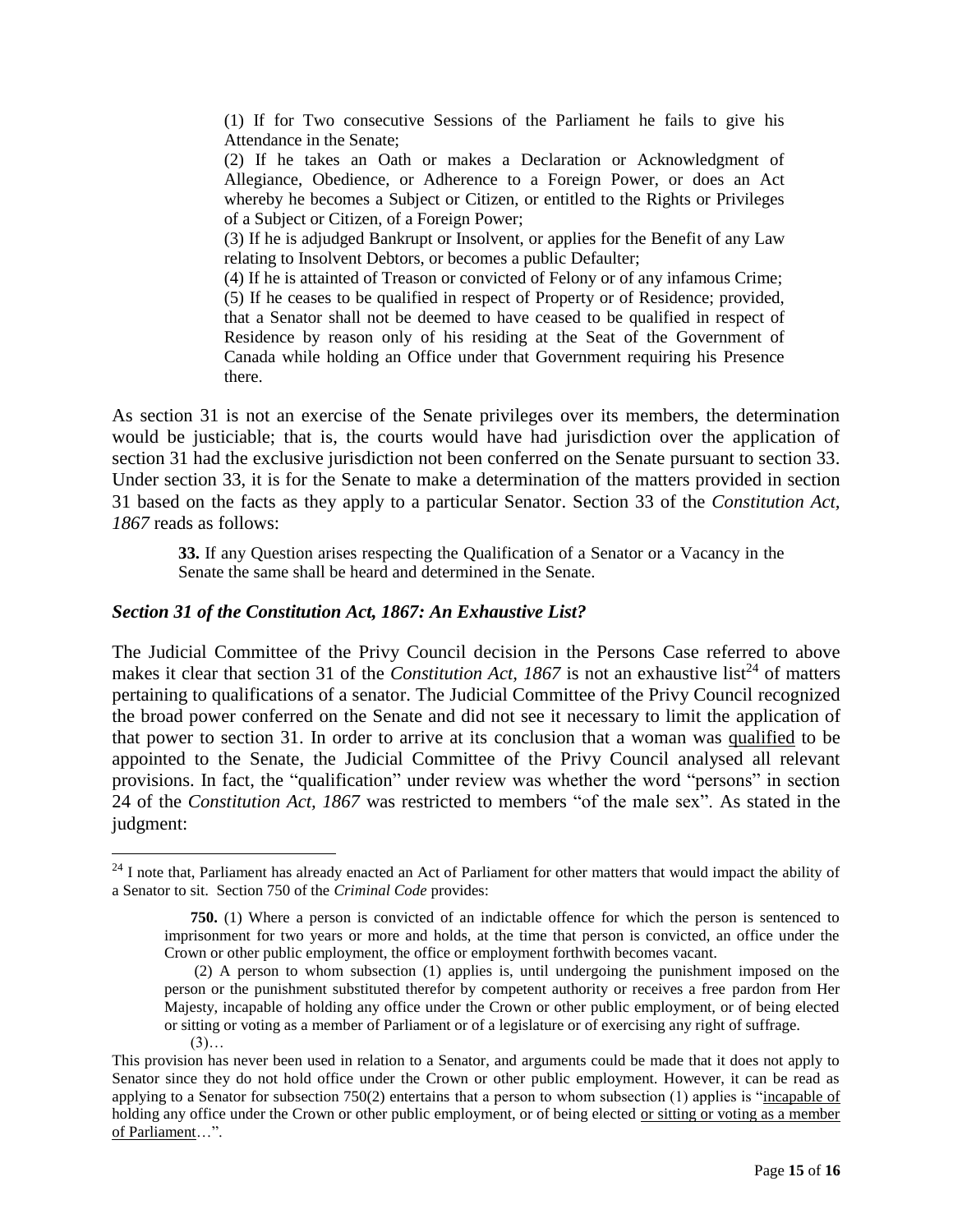(1) If for Two consecutive Sessions of the Parliament he fails to give his Attendance in the Senate;

(2) If he takes an Oath or makes a Declaration or Acknowledgment of Allegiance, Obedience, or Adherence to a Foreign Power, or does an Act whereby he becomes a Subject or Citizen, or entitled to the Rights or Privileges of a Subject or Citizen, of a Foreign Power;

(3) If he is adjudged Bankrupt or Insolvent, or applies for the Benefit of any Law relating to Insolvent Debtors, or becomes a public Defaulter;

(4) If he is attainted of Treason or convicted of Felony or of any infamous Crime; (5) If he ceases to be qualified in respect of Property or of Residence; provided, that a Senator shall not be deemed to have ceased to be qualified in respect of Residence by reason only of his residing at the Seat of the Government of Canada while holding an Office under that Government requiring his Presence there.

As section 31 is not an exercise of the Senate privileges over its members, the determination would be justiciable; that is, the courts would have had jurisdiction over the application of section 31 had the exclusive jurisdiction not been conferred on the Senate pursuant to section 33. Under section 33, it is for the Senate to make a determination of the matters provided in section 31 based on the facts as they apply to a particular Senator. Section 33 of the *Constitution Act, 1867* reads as follows:

**33.** If any Question arises respecting the Qualification of a Senator or a Vacancy in the Senate the same shall be heard and determined in the Senate.

### *Section 31 of the Constitution Act, 1867: An Exhaustive List?*

The Judicial Committee of the Privy Council decision in the Persons Case referred to above makes it clear that section 31 of the *Constitution Act*, 1867 is not an exhaustive list<sup>24</sup> of matters pertaining to qualifications of a senator. The Judicial Committee of the Privy Council recognized the broad power conferred on the Senate and did not see it necessary to limit the application of that power to section 31. In order to arrive at its conclusion that a woman was qualified to be appointed to the Senate, the Judicial Committee of the Privy Council analysed all relevant provisions. In fact, the "qualification" under review was whether the word "persons" in section 24 of the *Constitution Act, 1867* was restricted to members "of the male sex". As stated in the judgment:

l

 $24$  I note that, Parliament has already enacted an Act of Parliament for other matters that would impact the ability of a Senator to sit. Section 750 of the *Criminal Code* provides:

**[<sup>750.</sup>](http://laws-lois.justice.gc.ca/fra/C-46/page-16.html#codese:750)** (1) Where a person is convicted of an indictable offence for which the person is sentenced to imprisonment for two years or more and holds, at the time that person is convicted, an office under the Crown or other public employment, the office or employment forthwith becomes vacant.

<sup>(2)</sup> A person to whom subsection (1) applies is, until undergoing the punishment imposed on the person or the punishment substituted therefor by competent authority or receives a free pardon from Her Majesty, incapable of holding any office under the Crown or other public employment, or of being elected or sitting or voting as a member of Parliament or of a legislature or of exercising any right of suffrage.

 $(3)...$ 

This provision has never been used in relation to a Senator, and arguments could be made that it does not apply to Senator since they do not hold office under the Crown or other public employment. However, it can be read as applying to a Senator for subsection 750(2) entertains that a person to whom subsection (1) applies is "incapable of holding any office under the Crown or other public employment, or of being elected or sitting or voting as a member of Parliament…".